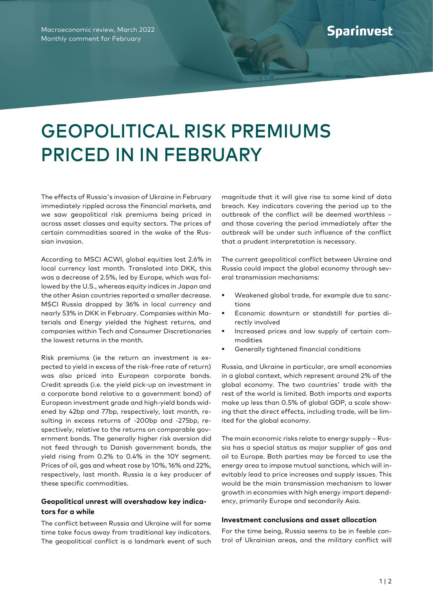## GEOPOLITICAL RISK PREMIUMS PRICED IN IN FEBRUARY

The effects of Russia's invasion of Ukraine in February immediately rippled across the financial markets, and we saw geopolitical risk premiums being priced in across asset classes and equity sectors. The prices of certain commodities soared in the wake of the Russian invasion.

According to MSCI ACWI, global equities lost 2.6% in local currency last month. Translated into DKK, this was a decrease of 2.5%, led by Europe, which was followed by the U.S., whereas equity indices in Japan and the other Asian countries reported a smaller decrease. MSCI Russia dropped by 36% in local currency and nearly 53% in DKK in February. Companies within Materials and Energy yielded the highest returns, and companies within Tech and Consumer Discretionaries the lowest returns in the month.

Risk premiums (ie the return an investment is expected to yield in excess of the risk-free rate of return) was also priced into European corporate bonds. Credit spreads (i.e. the yield pick-up on investment in a corporate bond relative to a government bond) of European investment grade and high-yield bonds widened by 42bp and 77bp, respectively, last month, resulting in excess returns of -200bp and -275bp, respectively, relative to the returns on comparable government bonds. The generally higher risk aversion did not feed through to Danish government bonds, the yield rising from 0.2% to 0.4% in the 10Y segment. Prices of oil, gas and wheat rose by 10%, 16% and 22%, respectively, last month. Russia is a key producer of these specific commodities.

## **Geopolitical unrest will overshadow key indicators for a while**

The conflict between Russia and Ukraine will for some time take focus away from traditional key indicators. The geopolitical conflict is a landmark event of such

magnitude that it will give rise to some kind of data breach. Key indicators covering the period up to the outbreak of the conflict will be deemed worthless – and those covering the period immediately after the outbreak will be under such influence of the conflict that a prudent interpretation is necessary.

The current geopolitical conflict between Ukraine and Russia could impact the global economy through several transmission mechanisms:

- Weakened global trade, for example due to sanctions
- Economic downturn or standstill for parties directly involved
- Increased prices and low supply of certain commodities
- Generally tightened financial conditions

Russia, and Ukraine in particular, are small economies in a global context, which represent around 2% of the global economy. The two countries' trade with the rest of the world is limited. Both imports and exports make up less than 0.5% of global GDP, a scale showing that the direct effects, including trade, will be limited for the global economy.

The main economic risks relate to energy supply – Russia has a special status as major supplier of gas and oil to Europe. Both parties may be forced to use the energy area to impose mutual sanctions, which will inevitably lead to price increases and supply issues. This would be the main transmission mechanism to lower growth in economies with high energy import dependency, primarily Europe and secondarily Asia.

## **Investment conclusions and asset allocation**

For the time being, Russia seems to be in feeble control of Ukrainian areas, and the military conflict will